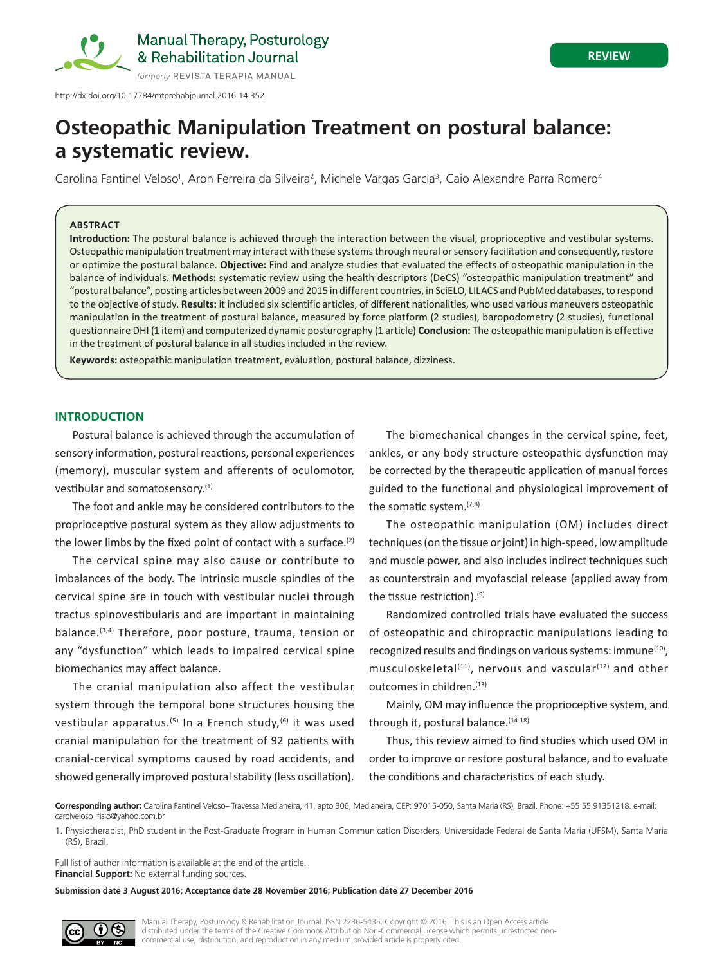

http://dx.doi.org/10.17784/mtprehabjournal.2016.14.352

# **Osteopathic Manipulation Treatment on postural balance: a systematic review.**

Carolina Fantinel Veloso<sup>1</sup>, Aron Ferreira da Silveira<sup>2</sup>, Michele Vargas Garcia<sup>3</sup>, Caio Alexandre Parra Romero<sup>4</sup>

# **ABSTRACT**

**Introduction:** The postural balance is achieved through the interaction between the visual, proprioceptive and vestibular systems. Osteopathic manipulation treatment may interact with these systems through neural or sensory facilitation and consequently, restore or optimize the postural balance. **Objective:** Find and analyze studies that evaluated the effects of osteopathic manipulation in the balance of individuals. **Methods:** systematic review using the health descriptors (DeCS) "osteopathic manipulation treatment" and "postural balance", posting articles between 2009 and 2015 in different countries, in SciELO, LILACS and PubMed databases, to respond to the objective of study. **Results:** it included six scientific articles, of different nationalities, who used various maneuvers osteopathic manipulation in the treatment of postural balance, measured by force platform (2 studies), baropodometry (2 studies), functional questionnaire DHI (1 item) and computerized dynamic posturography (1 article) **Conclusion:** The osteopathic manipulation is effective in the treatment of postural balance in all studies included in the review.

**Keywords:** osteopathic manipulation treatment, evaluation, postural balance, dizziness.

# **INTRODUCTION**

Postural balance is achieved through the accumulation of sensory information, postural reactions, personal experiences (memory), muscular system and afferents of oculomotor, vestibular and somatosensory.<sup>(1)</sup>

The foot and ankle may be considered contributors to the proprioceptive postural system as they allow adjustments to the lower limbs by the fixed point of contact with a surface.<sup>(2)</sup>

The cervical spine may also cause or contribute to imbalances of the body. The intrinsic muscle spindles of the cervical spine are in touch with vestibular nuclei through tractus spinovestibularis and are important in maintaining balance.(3,4) Therefore, poor posture, trauma, tension or any "dysfunction" which leads to impaired cervical spine biomechanics may affect balance.

The cranial manipulation also affect the vestibular system through the temporal bone structures housing the vestibular apparatus.<sup>(5)</sup> In a French study,<sup>(6)</sup> it was used cranial manipulation for the treatment of 92 patients with cranial-cervical symptoms caused by road accidents, and showed generally improved postural stability (less oscillation).

The biomechanical changes in the cervical spine, feet, ankles, or any body structure osteopathic dysfunction may be corrected by the therapeutic application of manual forces guided to the functional and physiological improvement of the somatic system.<sup>(7,8)</sup>

The osteopathic manipulation (OM) includes direct techniques (on the tissue or joint) in high-speed, low amplitude and muscle power, and also includes indirect techniques such as counterstrain and myofascial release (applied away from the tissue restriction).<sup>(9)</sup>

Randomized controlled trials have evaluated the success of osteopathic and chiropractic manipulations leading to recognized results and findings on various systems: immune<sup>(10)</sup>, musculoskeletal<sup>(11)</sup>, nervous and vascular<sup>(12)</sup> and other outcomes in children.<sup>(13)</sup>

Mainly, OM may influence the proprioceptive system, and through it, postural balance.<sup>(14-18)</sup>

Thus, this review aimed to find studies which used OM in order to improve or restore postural balance, and to evaluate the conditions and characteristics of each study.

Full list of author information is available at the end of the article. **Financial Support:** No external funding sources.

**Submission date 3 August 2016; Acceptance date 28 November 2016; Publication date 27 December 2016**



**Corresponding author:** Carolina Fantinel Veloso– Travessa Medianeira, 41, apto 306, Medianeira, CEP: 97015-050, Santa Maria (RS), Brazil. Phone: +55 55 91351218. e-mail: carolveloso\_fisio@yahoo.com.br

<sup>1.</sup> Physiotherapist, PhD student in the Post-Graduate Program in Human Communication Disorders, Universidade Federal de Santa Maria (UFSM), Santa Maria (RS), Brazil.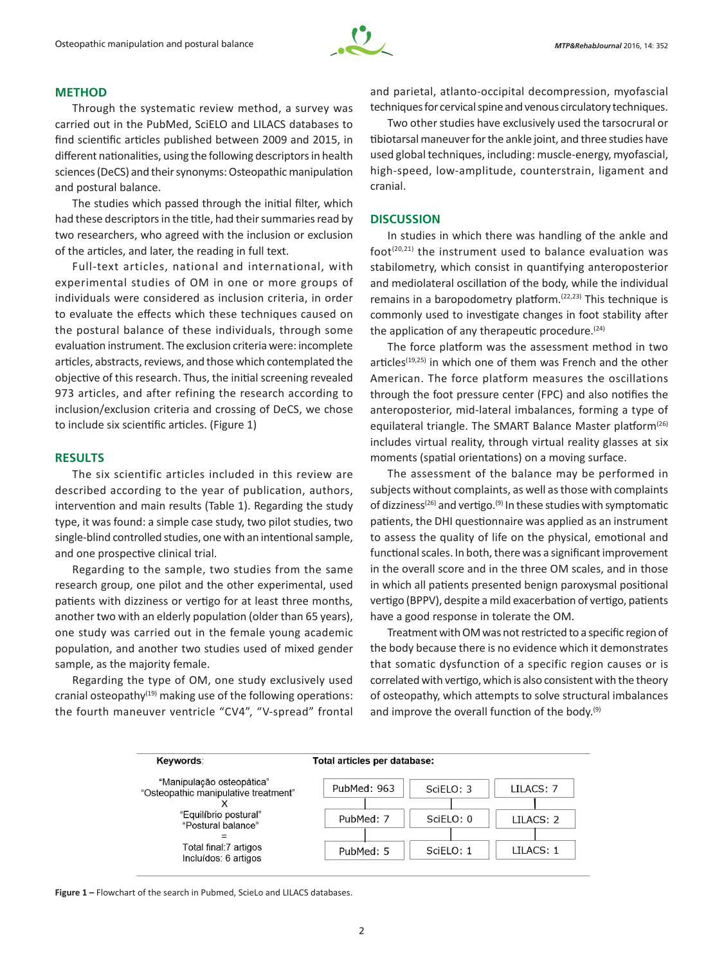

# **METHOD**

Through the systematic review method, a survey was carried out in the PubMed, SciELO and LILACS databases to find scientific articles published between 2009 and 2015, in different nationalities, using the following descriptors in health sciences (DeCS) and their synonyms: Osteopathic manipulation and postural balance.

The studies which passed through the initial filter, which had these descriptors in the title, had their summaries read by two researchers, who agreed with the inclusion or exclusion of the articles, and later, the reading in full text.

Full-text articles, national and international, with experimental studies of OM in one or more groups of individuals were considered as inclusion criteria, in order to evaluate the effects which these techniques caused on the postural balance of these individuals, through some evaluation instrument. The exclusion criteria were: incomplete articles, abstracts, reviews, and those which contemplated the objective of this research. Thus, the initial screening revealed 973 articles, and after refining the research according to inclusion/exclusion criteria and crossing of DeCS, we chose to include six scientific articles. (Figure 1)

## **RESULTS**

The six scientific articles included in this review are described according to the year of publication, authors, intervention and main results (Table 1). Regarding the study type, it was found: a simple case study, two pilot studies, two single-blind controlled studies, one with an intentional sample, and one prospective clinical trial.

Regarding to the sample, two studies from the same research group, one pilot and the other experimental, used patients with dizziness or vertigo for at least three months, another two with an elderly population (older than 65 years), one study was carried out in the female young academic population, and another two studies used of mixed gender sample, as the majority female.

Regarding the type of OM, one study exclusively used cranial osteopathy<sup>(19)</sup> making use of the following operations: the fourth maneuver ventricle "CV4", "V-spread" frontal and parietal, atlanto-occipital decompression, myofascial techniques for cervical spine and venous circulatory techniques.

Two other studies have exclusively used the tarsocrural or tibiotarsal maneuver for the ankle joint, and three studies have used global techniques, including: muscle-energy, myofascial, high-speed, low-amplitude, counterstrain, ligament and cranial.

# **DISCUSSION**

In studies in which there was handling of the ankle and foot $(20,21)$  the instrument used to balance evaluation was stabilometry, which consist in quantifying anteroposterior and mediolateral oscillation of the body, while the individual remains in a baropodometry platform.<sup>(22,23)</sup> This technique is commonly used to investigate changes in foot stability after the application of any therapeutic procedure.(24)

The force platform was the assessment method in two articles<sup>(19,25)</sup> in which one of them was French and the other American. The force platform measures the oscillations through the foot pressure center (FPC) and also notifies the anteroposterior, mid-lateral imbalances, forming a type of equilateral triangle. The SMART Balance Master platform<sup>(26)</sup> includes virtual reality, through virtual reality glasses at six moments (spatial orientations) on a moving surface.

The assessment of the balance may be performed in subjects without complaints, as well as those with complaints of dizziness<sup>(26)</sup> and vertigo.<sup>(9)</sup> In these studies with symptomatic patients, the DHI questionnaire was applied as an instrument to assess the quality of life on the physical, emotional and functional scales. In both, there was a significant improvement in the overall score and in the three OM scales, and in those in which all patients presented benign paroxysmal positional vertigo (BPPV), despite a mild exacerbation of vertigo, patients have a good response in tolerate the OM.

Treatment with OM was not restricted to a specific region of the body because there is no evidence which it demonstrates that somatic dysfunction of a specific region causes or is correlated with vertigo, which is also consistent with the theory of osteopathy, which attempts to solve structural imbalances and improve the overall function of the body.<sup>(9)</sup>



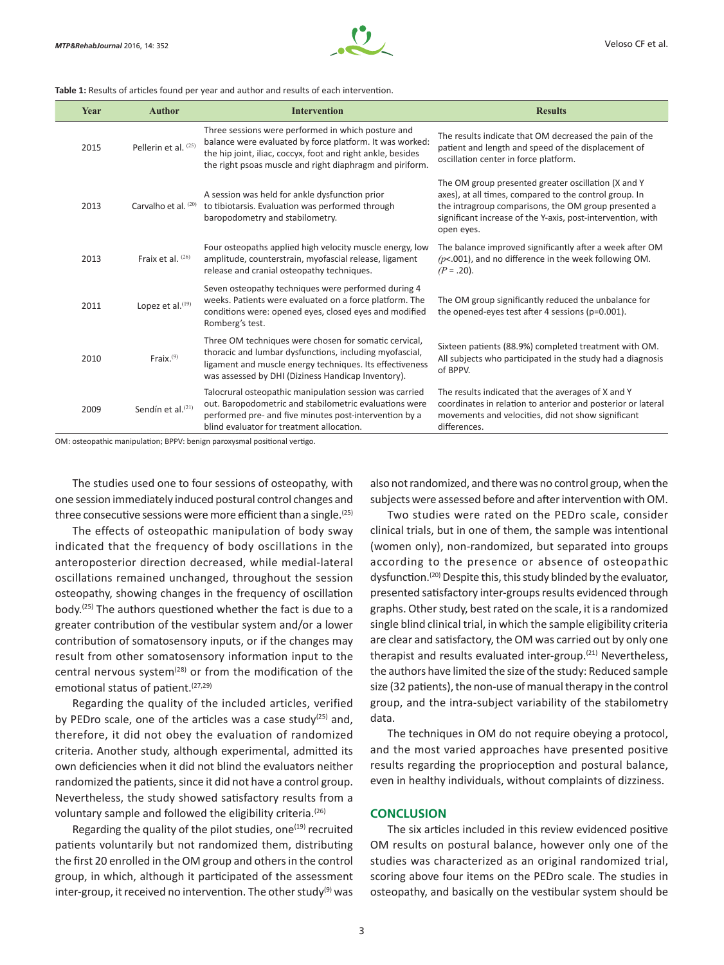

#### **Table 1:** Results of articles found per year and author and results of each intervention.

| Year | <b>Author</b>                | <b>Intervention</b>                                                                                                                                                                                                                       | <b>Results</b>                                                                                                                                                                                                                                     |
|------|------------------------------|-------------------------------------------------------------------------------------------------------------------------------------------------------------------------------------------------------------------------------------------|----------------------------------------------------------------------------------------------------------------------------------------------------------------------------------------------------------------------------------------------------|
| 2015 | Pellerin et al. (25)         | Three sessions were performed in which posture and<br>balance were evaluated by force platform. It was worked:<br>the hip joint, iliac, coccyx, foot and right ankle, besides<br>the right psoas muscle and right diaphragm and piriform. | The results indicate that OM decreased the pain of the<br>patient and length and speed of the displacement of<br>oscillation center in force platform.                                                                                             |
| 2013 | Carvalho et al. $(20)$       | A session was held for ankle dysfunction prior<br>to tibiotarsis. Evaluation was performed through<br>baropodometry and stabilometry.                                                                                                     | The OM group presented greater oscillation (X and Y<br>axes), at all times, compared to the control group. In<br>the intragroup comparisons, the OM group presented a<br>significant increase of the Y-axis, post-intervention, with<br>open eyes. |
| 2013 | Fraix et al. (26)            | Four osteopaths applied high velocity muscle energy, low<br>amplitude, counterstrain, myofascial release, ligament<br>release and cranial osteopathy techniques.                                                                          | The balance improved significantly after a week after OM<br>$(p<.001)$ , and no difference in the week following OM.<br>$(P = .20)$ .                                                                                                              |
| 2011 | Lopez et al. <sup>(19)</sup> | Seven osteopathy techniques were performed during 4<br>weeks. Patients were evaluated on a force platform. The<br>conditions were: opened eyes, closed eyes and modified<br>Romberg's test.                                               | The OM group significantly reduced the unbalance for<br>the opened-eyes test after 4 sessions (p=0.001).                                                                                                                                           |
| 2010 | Fraix. $(9)$                 | Three OM techniques were chosen for somatic cervical,<br>thoracic and lumbar dysfunctions, including myofascial,<br>ligament and muscle energy techniques. Its effectiveness<br>was assessed by DHI (Diziness Handicap Inventory).        | Sixteen patients (88.9%) completed treatment with OM.<br>All subjects who participated in the study had a diagnosis<br>of BPPV.                                                                                                                    |
| 2009 | Sendín et al. $(21)$         | Talocrural osteopathic manipulation session was carried<br>out. Baropodometric and stabilometric evaluations were<br>performed pre- and five minutes post-intervention by a<br>blind evaluator for treatment allocation.                  | The results indicated that the averages of X and Y<br>coordinates in relation to anterior and posterior or lateral<br>movements and velocities, did not show significant<br>differences.                                                           |

OM: osteopathic manipulation; BPPV: benign paroxysmal positional vertigo.

The studies used one to four sessions of osteopathy, with one session immediately induced postural control changes and three consecutive sessions were more efficient than a single.<sup>(25)</sup>

The effects of osteopathic manipulation of body sway indicated that the frequency of body oscillations in the anteroposterior direction decreased, while medial-lateral oscillations remained unchanged, throughout the session osteopathy, showing changes in the frequency of oscillation body.(25) The authors questioned whether the fact is due to a greater contribution of the vestibular system and/or a lower contribution of somatosensory inputs, or if the changes may result from other somatosensory information input to the central nervous system<sup>(28)</sup> or from the modification of the emotional status of patient.(27,29)

Regarding the quality of the included articles, verified by PEDro scale, one of the articles was a case study $(25)$  and, therefore, it did not obey the evaluation of randomized criteria. Another study, although experimental, admitted its own deficiencies when it did not blind the evaluators neither randomized the patients, since it did not have a control group. Nevertheless, the study showed satisfactory results from a voluntary sample and followed the eligibility criteria.<sup>(26)</sup>

Regarding the quality of the pilot studies, one $(19)$  recruited patients voluntarily but not randomized them, distributing the first 20 enrolled in the OM group and others in the control group, in which, although it participated of the assessment inter-group, it received no intervention. The other study $(9)$  was

also not randomized, and there was no control group, when the subjects were assessed before and after intervention with OM.

Two studies were rated on the PEDro scale, consider clinical trials, but in one of them, the sample was intentional (women only), non-randomized, but separated into groups according to the presence or absence of osteopathic dysfunction.(20) Despite this, this study blinded by the evaluator, presented satisfactory inter-groups results evidenced through graphs. Other study, best rated on the scale, it is a randomized single blind clinical trial, in which the sample eligibility criteria are clear and satisfactory, the OM was carried out by only one therapist and results evaluated inter-group.(21) Nevertheless, the authors have limited the size of the study: Reduced sample size (32 patients), the non-use of manual therapy in the control group, and the intra-subject variability of the stabilometry data.

The techniques in OM do not require obeying a protocol, and the most varied approaches have presented positive results regarding the proprioception and postural balance, even in healthy individuals, without complaints of dizziness.

# **CONCLUSION**

The six articles included in this review evidenced positive OM results on postural balance, however only one of the studies was characterized as an original randomized trial, scoring above four items on the PEDro scale. The studies in osteopathy, and basically on the vestibular system should be